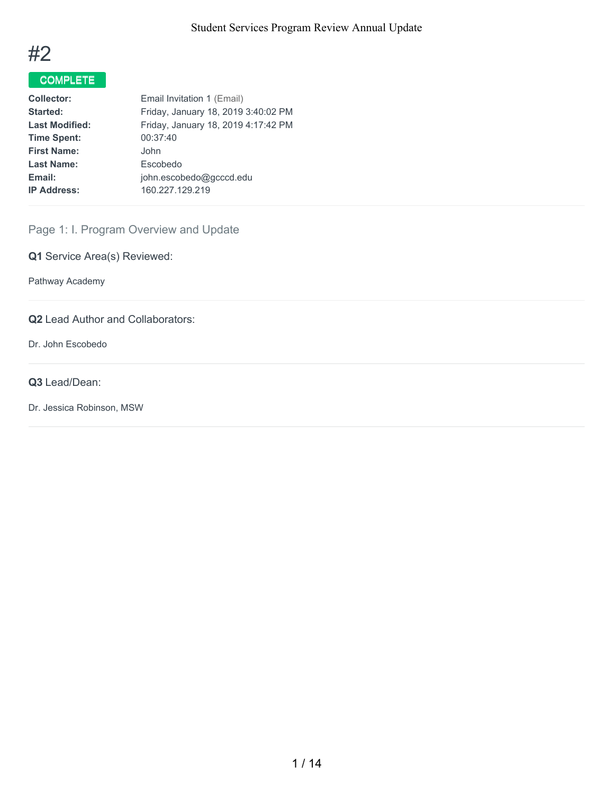

# COMPLETE

| <b>Collector:</b>     | Email Invitation 1 (Email)          |
|-----------------------|-------------------------------------|
| Started:              | Friday, January 18, 2019 3:40:02 PM |
| <b>Last Modified:</b> | Friday, January 18, 2019 4:17:42 PM |
| <b>Time Spent:</b>    | 00:37:40                            |
| <b>First Name:</b>    | John.                               |
| <b>Last Name:</b>     | Escobedo                            |
| Email:                | john.escobedo@gcccd.edu             |
| <b>IP Address:</b>    | 160.227.129.219                     |
|                       |                                     |

# Page 1: I. Program Overview and Update

**Q1** Service Area(s) Reviewed:

Pathway Academy

**Q2** Lead Author and Collaborators:

Dr. John Escobedo

#### **Q3** Lead/Dean:

Dr. Jessica Robinson, MSW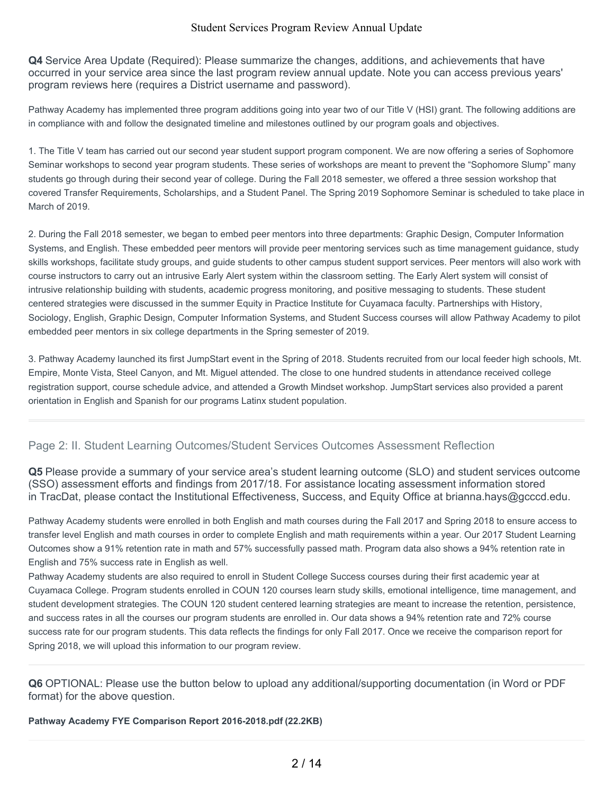**Q4** Service Area Update (Required): Please summarize the changes, additions, and achievements that have occurred in your service area since the last program review annual update. Note you can access previous years' program reviews here (requires a District username and password).

Pathway Academy has implemented three program additions going into year two of our Title V (HSI) grant. The following additions are in compliance with and follow the designated timeline and milestones outlined by our program goals and objectives.

1. The Title V team has carried out our second year student support program component. We are now offering a series of Sophomore Seminar workshops to second year program students. These series of workshops are meant to prevent the "Sophomore Slump" many students go through during their second year of college. During the Fall 2018 semester, we offered a three session workshop that covered Transfer Requirements, Scholarships, and a Student Panel. The Spring 2019 Sophomore Seminar is scheduled to take place in March of 2019.

2. During the Fall 2018 semester, we began to embed peer mentors into three departments: Graphic Design, Computer Information Systems, and English. These embedded peer mentors will provide peer mentoring services such as time management guidance, study skills workshops, facilitate study groups, and guide students to other campus student support services. Peer mentors will also work with course instructors to carry out an intrusive Early Alert system within the classroom setting. The Early Alert system will consist of intrusive relationship building with students, academic progress monitoring, and positive messaging to students. These student centered strategies were discussed in the summer Equity in Practice Institute for Cuyamaca faculty. Partnerships with History, Sociology, English, Graphic Design, Computer Information Systems, and Student Success courses will allow Pathway Academy to pilot embedded peer mentors in six college departments in the Spring semester of 2019.

3. Pathway Academy launched its first JumpStart event in the Spring of 2018. Students recruited from our local feeder high schools, Mt. Empire, Monte Vista, Steel Canyon, and Mt. Miguel attended. The close to one hundred students in attendance received college registration support, course schedule advice, and attended a Growth Mindset workshop. JumpStart services also provided a parent orientation in English and Spanish for our programs Latinx student population.

## Page 2: II. Student Learning Outcomes/Student Services Outcomes Assessment Reflection

**Q5** Please provide a summary of your service area's student learning outcome (SLO) and student services outcome (SSO) assessment efforts and findings from 2017/18. For assistance locating assessment information stored in TracDat, please contact the Institutional Effectiveness, Success, and Equity Office at brianna.hays@gcccd.edu.

Pathway Academy students were enrolled in both English and math courses during the Fall 2017 and Spring 2018 to ensure access to transfer level English and math courses in order to complete English and math requirements within a year. Our 2017 Student Learning Outcomes show a 91% retention rate in math and 57% successfully passed math. Program data also shows a 94% retention rate in English and 75% success rate in English as well.

Pathway Academy students are also required to enroll in Student College Success courses during their first academic year at Cuyamaca College. Program students enrolled in COUN 120 courses learn study skills, emotional intelligence, time management, and student development strategies. The COUN 120 student centered learning strategies are meant to increase the retention, persistence, and success rates in all the courses our program students are enrolled in. Our data shows a 94% retention rate and 72% course success rate for our program students. This data reflects the findings for only Fall 2017. Once we receive the comparison report for Spring 2018, we will upload this information to our program review.

**Q6** OPTIONAL: Please use the button below to upload any additional/supporting documentation (in Word or PDF format) for the above question.

**Pathway Academy FYE Comparison Report 2016-2018.pdf (22.2KB)**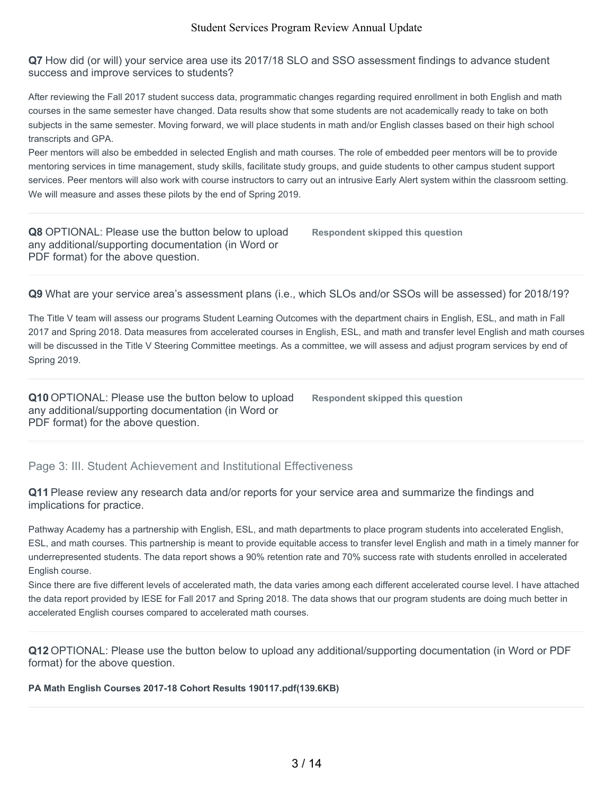**Q7** How did (or will) your service area use its 2017/18 SLO and SSO assessment findings to advance student success and improve services to students?

After reviewing the Fall 2017 student success data, programmatic changes regarding required enrollment in both English and math courses in the same semester have changed. Data results show that some students are not academically ready to take on both subjects in the same semester. Moving forward, we will place students in math and/or English classes based on their high school transcripts and GPA.

Peer mentors will also be embedded in selected English and math courses. The role of embedded peer mentors will be to provide mentoring services in time management, study skills, facilitate study groups, and guide students to other campus student support services. Peer mentors will also work with course instructors to carry out an intrusive Early Alert system within the classroom setting. We will measure and asses these pilots by the end of Spring 2019.

**Q8** OPTIONAL: Please use the button below to upload any additional/supporting documentation (in Word or PDF format) for the above question. **Respondent skipped this question**

**Q9** What are your service area's assessment plans (i.e., which SLOs and/or SSOs will be assessed) for 2018/19?

The Title V team will assess our programs Student Learning Outcomes with the department chairs in English, ESL, and math in Fall 2017 and Spring 2018. Data measures from accelerated courses in English, ESL, and math and transfer level English and math courses will be discussed in the Title V Steering Committee meetings. As a committee, we will assess and adjust program services by end of Spring 2019.

**Q10** OPTIONAL: Please use the button below to upload any additional/supporting documentation (in Word or PDF format) for the above question.

**Respondent skipped this question**

Page 3: III. Student Achievement and Institutional Effectiveness

**Q11** Please review any research data and/or reports for your service area and summarize the findings and implications for practice.

Pathway Academy has a partnership with English, ESL, and math departments to place program students into accelerated English, ESL, and math courses. This partnership is meant to provide equitable access to transfer level English and math in a timely manner for underrepresented students. The data report shows a 90% retention rate and 70% success rate with students enrolled in accelerated English course.

Since there are five different levels of accelerated math, the data varies among each different accelerated course level. I have attached the data report provided by IESE for Fall 2017 and Spring 2018. The data shows that our program students are doing much better in accelerated English courses compared to accelerated math courses.

**Q12** OPTIONAL: Please use the button below to upload any additional/supporting documentation (in Word or PDF format) for the above question.

**PA Math English Courses 2017-18 Cohort Results 190117.pdf(139.6KB)**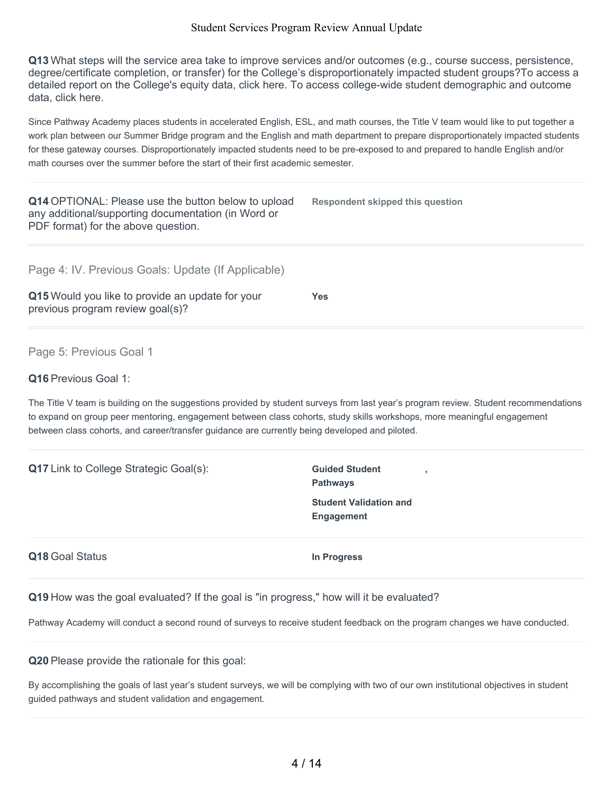**Q13** What steps will the service area take to improve services and/or outcomes (e.g., course success, persistence, degree/certificate completion, or transfer) for the College's disproportionately impacted student groups?To access a detailed report on the College's equity data, click here. To access college-wide student demographic and outcome data, click here.

Since Pathway Academy places students in accelerated English, ESL, and math courses, the Title V team would like to put together a work plan between our Summer Bridge program and the English and math department to prepare disproportionately impacted students for these gateway courses. Disproportionately impacted students need to be pre-exposed to and prepared to handle English and/or math courses over the summer before the start of their first academic semester.

| Q14 OPTIONAL: Please use the button below to upload<br>any additional/supporting documentation (in Word or<br>PDF format) for the above question. | <b>Respondent skipped this question</b>                                                                                                                                                                                                                         |
|---------------------------------------------------------------------------------------------------------------------------------------------------|-----------------------------------------------------------------------------------------------------------------------------------------------------------------------------------------------------------------------------------------------------------------|
| Page 4: IV. Previous Goals: Update (If Applicable)                                                                                                |                                                                                                                                                                                                                                                                 |
| Q15 Would you like to provide an update for your<br>previous program review goal(s)?                                                              | <b>Yes</b>                                                                                                                                                                                                                                                      |
| Page 5: Previous Goal 1                                                                                                                           |                                                                                                                                                                                                                                                                 |
| Q16 Previous Goal 1:                                                                                                                              |                                                                                                                                                                                                                                                                 |
| between class cohorts, and career/transfer guidance are currently being developed and piloted.                                                    | The Title V team is building on the suggestions provided by student surveys from last year's program review. Student recommendations<br>to expand on group peer mentoring, engagement between class cohorts, study skills workshops, more meaningful engagement |
| <b>Q17</b> Link to College Strategic Goal(s):                                                                                                     | <b>Guided Student</b><br>×<br><b>Pathways</b>                                                                                                                                                                                                                   |
|                                                                                                                                                   | <b>Student Validation and</b><br><b>Engagement</b>                                                                                                                                                                                                              |
| Q18 Goal Status                                                                                                                                   | In Progress                                                                                                                                                                                                                                                     |
| 0الرعامي المتناوبة المستقبل المتحدد واللامح والمستقبل المستقبل المستقبل والمساحة والمستقبل والاستعمال والمرام المرام                              |                                                                                                                                                                                                                                                                 |

**Q19** How was the goal evaluated? If the goal is "in progress," how will it be evaluated?

Pathway Academy will conduct a second round of surveys to receive student feedback on the program changes we have conducted.

**Q20** Please provide the rationale for this goal:

By accomplishing the goals of last year's student surveys, we will be complying with two of our own institutional objectives in student guided pathways and student validation and engagement.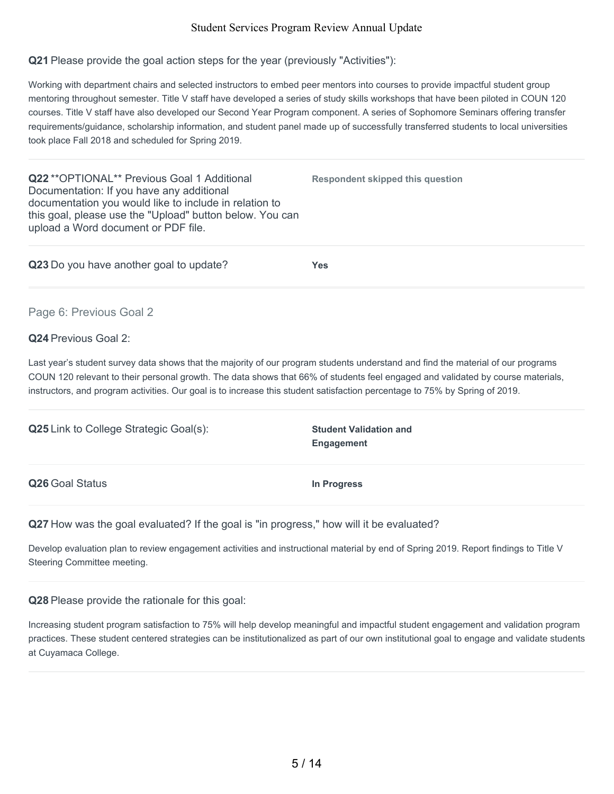#### **Q21** Please provide the goal action steps for the year (previously "Activities"):

Working with department chairs and selected instructors to embed peer mentors into courses to provide impactful student group mentoring throughout semester. Title V staff have developed a series of study skills workshops that have been piloted in COUN 120 courses. Title V staff have also developed our Second Year Program component. A series of Sophomore Seminars offering transfer requirements/guidance, scholarship information, and student panel made up of successfully transferred students to local universities took place Fall 2018 and scheduled for Spring 2019.

**Q22** \*\*OPTIONAL\*\* Previous Goal 1 Additional Documentation: If you have any additional documentation you would like to include in relation to this goal, please use the "Upload" button below. You can upload a Word document or PDF file.

**Q23** Do you have another goal to update? **Yes**

**Respondent skipped this question**

Page 6: Previous Goal 2

#### **Q24** Previous Goal 2:

Last year's student survey data shows that the majority of our program students understand and find the material of our programs COUN 120 relevant to their personal growth. The data shows that 66% of students feel engaged and validated by course materials, instructors, and program activities. Our goal is to increase this student satisfaction percentage to 75% by Spring of 2019.

| <b>Q25</b> Link to College Strategic Goal(s): | <b>Student Validation and</b><br><b>Engagement</b> |
|-----------------------------------------------|----------------------------------------------------|
| Q26 Goal Status                               | In Progress                                        |

**Q27** How was the goal evaluated? If the goal is "in progress," how will it be evaluated?

Develop evaluation plan to review engagement activities and instructional material by end of Spring 2019. Report findings to Title V Steering Committee meeting.

### **Q28** Please provide the rationale for this goal:

Increasing student program satisfaction to 75% will help develop meaningful and impactful student engagement and validation program practices. These student centered strategies can be institutionalized as part of our own institutional goal to engage and validate students at Cuyamaca College.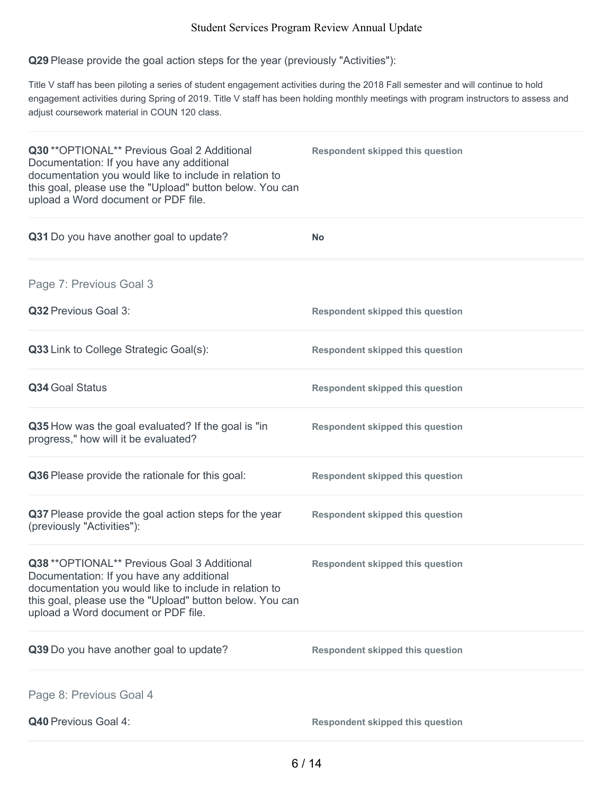# **Q29** Please provide the goal action steps for the year (previously "Activities"):

Title V staff has been piloting a series of student engagement activities during the 2018 Fall semester and will continue to hold engagement activities during Spring of 2019. Title V staff has been holding monthly meetings with program instructors to assess and adjust coursework material in COUN 120 class.

| Q30 ** OPTIONAL** Previous Goal 2 Additional<br>Documentation: If you have any additional<br>documentation you would like to include in relation to<br>this goal, please use the "Upload" button below. You can<br>upload a Word document or PDF file. | <b>Respondent skipped this question</b> |
|--------------------------------------------------------------------------------------------------------------------------------------------------------------------------------------------------------------------------------------------------------|-----------------------------------------|
| Q31 Do you have another goal to update?                                                                                                                                                                                                                | <b>No</b>                               |
| Page 7: Previous Goal 3                                                                                                                                                                                                                                |                                         |
| Q32 Previous Goal 3:                                                                                                                                                                                                                                   | <b>Respondent skipped this question</b> |
| Q33 Link to College Strategic Goal(s):                                                                                                                                                                                                                 | <b>Respondent skipped this question</b> |
| Q34 Goal Status                                                                                                                                                                                                                                        | <b>Respondent skipped this question</b> |
| Q35 How was the goal evaluated? If the goal is "in<br>progress," how will it be evaluated?                                                                                                                                                             | <b>Respondent skipped this question</b> |
| Q36 Please provide the rationale for this goal:                                                                                                                                                                                                        | <b>Respondent skipped this question</b> |
| Q37 Please provide the goal action steps for the year<br>(previously "Activities"):                                                                                                                                                                    | <b>Respondent skipped this question</b> |
| Q38 ** OPTIONAL** Previous Goal 3 Additional<br>Documentation: If you have any additional<br>documentation you would like to include in relation to<br>this goal, please use the "Upload" button below. You can<br>upload a Word document or PDF file. | <b>Respondent skipped this question</b> |
| Q39 Do you have another goal to update?                                                                                                                                                                                                                | <b>Respondent skipped this question</b> |
| Page 8: Previous Goal 4                                                                                                                                                                                                                                |                                         |
| Q40 Previous Goal 4:                                                                                                                                                                                                                                   | <b>Respondent skipped this question</b> |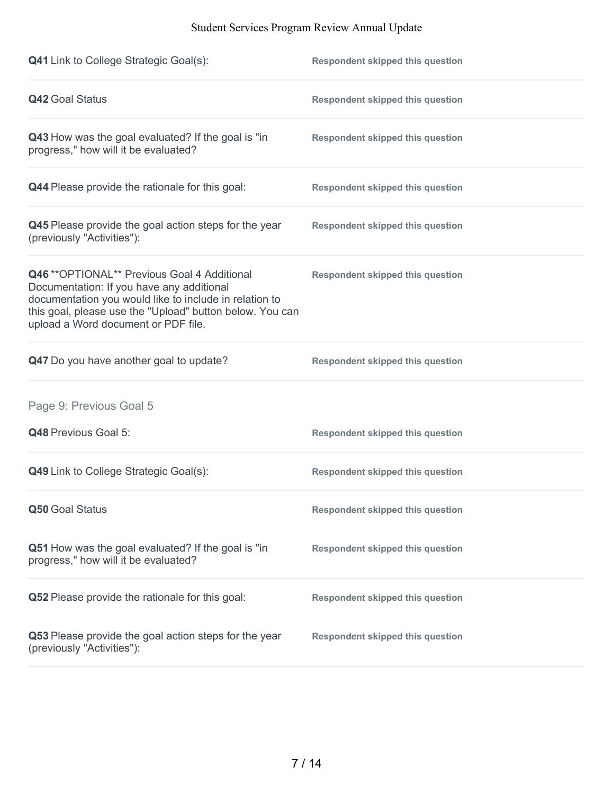| <b>Q41</b> Link to College Strategic Goal(s):                                                                                                                                                                                                          | <b>Respondent skipped this question</b> |
|--------------------------------------------------------------------------------------------------------------------------------------------------------------------------------------------------------------------------------------------------------|-----------------------------------------|
| <b>Q42 Goal Status</b>                                                                                                                                                                                                                                 | <b>Respondent skipped this question</b> |
| Q43 How was the goal evaluated? If the goal is "in<br>progress," how will it be evaluated?                                                                                                                                                             | <b>Respondent skipped this question</b> |
| Q44 Please provide the rationale for this goal:                                                                                                                                                                                                        | <b>Respondent skipped this question</b> |
| Q45 Please provide the goal action steps for the year<br>(previously "Activities"):                                                                                                                                                                    | <b>Respondent skipped this question</b> |
| Q46 ** OPTIONAL** Previous Goal 4 Additional<br>Documentation: If you have any additional<br>documentation you would like to include in relation to<br>this goal, please use the "Upload" button below. You can<br>upload a Word document or PDF file. | <b>Respondent skipped this question</b> |
| Q47 Do you have another goal to update?                                                                                                                                                                                                                | <b>Respondent skipped this question</b> |
| Page 9: Previous Goal 5                                                                                                                                                                                                                                |                                         |
| Q48 Previous Goal 5:                                                                                                                                                                                                                                   | <b>Respondent skipped this question</b> |
| Q49 Link to College Strategic Goal(s):                                                                                                                                                                                                                 | <b>Respondent skipped this question</b> |
| Q50 Goal Status                                                                                                                                                                                                                                        | <b>Respondent skipped this question</b> |
| Q51 How was the goal evaluated? If the goal is "in<br>progress," how will it be evaluated?                                                                                                                                                             | <b>Respondent skipped this question</b> |
| Q52 Please provide the rationale for this goal:                                                                                                                                                                                                        | <b>Respondent skipped this question</b> |
| Q53 Please provide the goal action steps for the year<br>(previously "Activities"):                                                                                                                                                                    | <b>Respondent skipped this question</b> |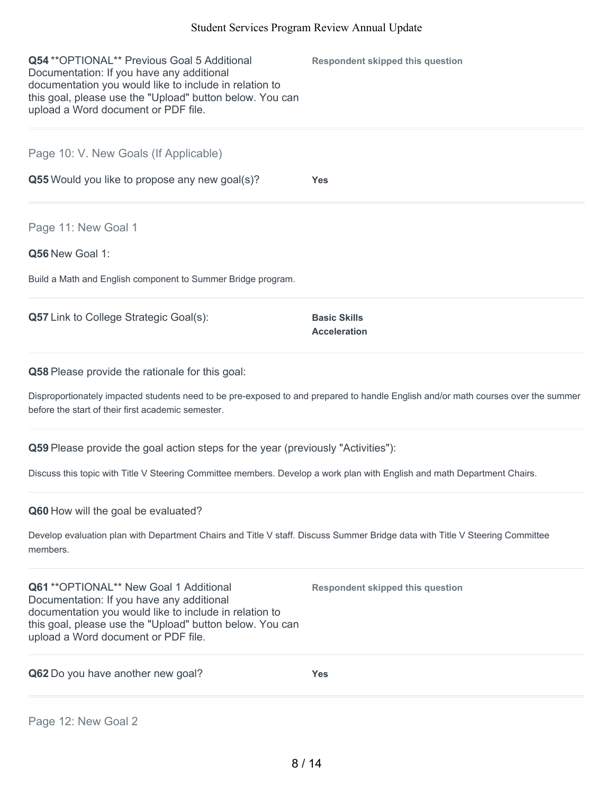| <b>Q54 ** OPTIONAL** Previous Goal 5 Additional</b><br>Documentation: If you have any additional<br>documentation you would like to include in relation to<br>this goal, please use the "Upload" button below. You can<br>upload a Word document or PDF file. | <b>Respondent skipped this question</b>    |
|---------------------------------------------------------------------------------------------------------------------------------------------------------------------------------------------------------------------------------------------------------------|--------------------------------------------|
| Page 10: V. New Goals (If Applicable)                                                                                                                                                                                                                         |                                            |
| Q55 Would you like to propose any new goal(s)?                                                                                                                                                                                                                | <b>Yes</b>                                 |
| Page 11: New Goal 1                                                                                                                                                                                                                                           |                                            |
| Q56 New Goal 1:                                                                                                                                                                                                                                               |                                            |
| Build a Math and English component to Summer Bridge program.                                                                                                                                                                                                  |                                            |
| <b>Q57</b> Link to College Strategic Goal(s):                                                                                                                                                                                                                 | <b>Basic Skills</b><br><b>Acceleration</b> |
| <b>Q58</b> Please provide the rationale for this goal:                                                                                                                                                                                                        |                                            |
| Disproportionately impacted students need to be pre-exposed to and prepared to handle English and/or math courses over the summer<br>before the start of their first academic semester.                                                                       |                                            |

**Q59** Please provide the goal action steps for the year (previously "Activities"):

Discuss this topic with Title V Steering Committee members. Develop a work plan with English and math Department Chairs.

**Q60** How will the goal be evaluated?

Develop evaluation plan with Department Chairs and Title V staff. Discuss Summer Bridge data with Title V Steering Committee members.

**Q61** \*\*OPTIONAL\*\* New Goal 1 Additional Documentation: If you have any additional documentation you would like to include in relation to this goal, please use the "Upload" button below. You can upload a Word document or PDF file.

**Q62** Do you have another new goal? **Yes**

**Respondent skipped this question**

Page 12: New Goal 2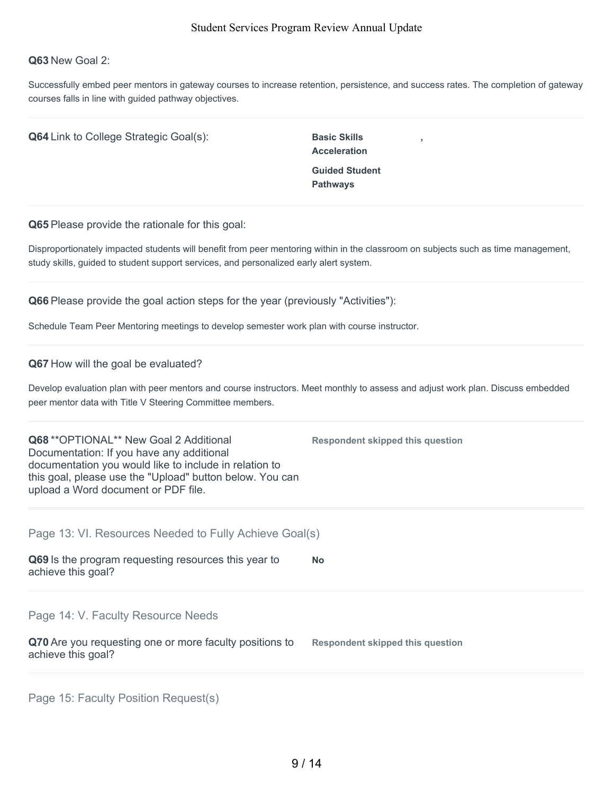#### **Q63** New Goal 2:

Successfully embed peer mentors in gateway courses to increase retention, persistence, and success rates. The completion of gateway courses falls in line with guided pathway objectives.

**Q64** Link to College Strategic Goal(s): Basic Skills

**Acceleration Guided Student Pathways**

**,**

**Q65** Please provide the rationale for this goal:

Disproportionately impacted students will benefit from peer mentoring within in the classroom on subjects such as time management, study skills, guided to student support services, and personalized early alert system.

**Q66** Please provide the goal action steps for the year (previously "Activities"):

Schedule Team Peer Mentoring meetings to develop semester work plan with course instructor.

#### **Q67** How will the goal be evaluated?

Develop evaluation plan with peer mentors and course instructors. Meet monthly to assess and adjust work plan. Discuss embedded peer mentor data with Title V Steering Committee members.

**Q68** \*\*OPTIONAL\*\* New Goal 2 Additional Documentation: If you have any additional documentation you would like to include in relation to this goal, please use the "Upload" button below. You can upload a Word document or PDF file. **Respondent skipped this question**

| Page 13: VI. Resources Needed to Fully Achieve Goal(s)                        |                                  |
|-------------------------------------------------------------------------------|----------------------------------|
| Q69 Is the program requesting resources this year to<br>achieve this goal?    | <b>No</b>                        |
| Page 14: V. Faculty Resource Needs                                            |                                  |
| Q70 Are you requesting one or more faculty positions to<br>achieve this goal? | Respondent skipped this question |
|                                                                               |                                  |

Page 15: Faculty Position Request(s)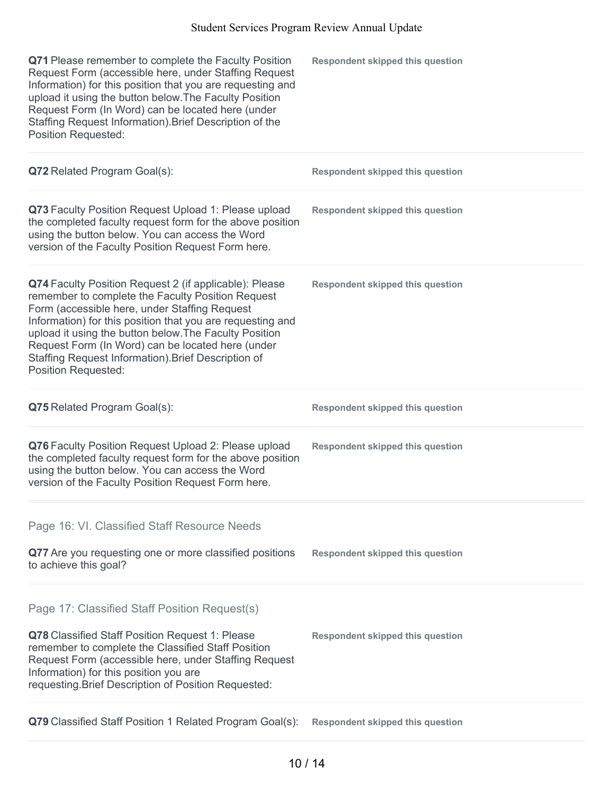| Q71 Please remember to complete the Faculty Position<br>Request Form (accessible here, under Staffing Request<br>Information) for this position that you are requesting and<br>upload it using the button below. The Faculty Position<br>Request Form (In Word) can be located here (under<br>Staffing Request Information). Brief Description of the<br><b>Position Requested:</b>                                            | <b>Respondent skipped this question</b> |
|--------------------------------------------------------------------------------------------------------------------------------------------------------------------------------------------------------------------------------------------------------------------------------------------------------------------------------------------------------------------------------------------------------------------------------|-----------------------------------------|
| Q72 Related Program Goal(s):                                                                                                                                                                                                                                                                                                                                                                                                   | <b>Respondent skipped this question</b> |
| Q73 Faculty Position Request Upload 1: Please upload<br>the completed faculty request form for the above position<br>using the button below. You can access the Word<br>version of the Faculty Position Request Form here.                                                                                                                                                                                                     | <b>Respondent skipped this question</b> |
| Q74 Faculty Position Request 2 (if applicable): Please<br>remember to complete the Faculty Position Request<br>Form (accessible here, under Staffing Request<br>Information) for this position that you are requesting and<br>upload it using the button below. The Faculty Position<br>Request Form (In Word) can be located here (under<br>Staffing Request Information). Brief Description of<br><b>Position Requested:</b> | <b>Respondent skipped this question</b> |
| Q75 Related Program Goal(s):                                                                                                                                                                                                                                                                                                                                                                                                   | <b>Respondent skipped this question</b> |
| Q76 Faculty Position Request Upload 2: Please upload<br>the completed faculty request form for the above position<br>using the button below. You can access the Word<br>version of the Faculty Position Request Form here.                                                                                                                                                                                                     | <b>Respondent skipped this question</b> |
|                                                                                                                                                                                                                                                                                                                                                                                                                                |                                         |
| Page 16: VI. Classified Staff Resource Needs                                                                                                                                                                                                                                                                                                                                                                                   |                                         |
| Q77 Are you requesting one or more classified positions<br>to achieve this goal?                                                                                                                                                                                                                                                                                                                                               | <b>Respondent skipped this question</b> |
| Page 17: Classified Staff Position Request(s)<br>Q78 Classified Staff Position Request 1: Please<br>remember to complete the Classified Staff Position<br>Request Form (accessible here, under Staffing Request<br>Information) for this position you are<br>requesting. Brief Description of Position Requested:                                                                                                              | <b>Respondent skipped this question</b> |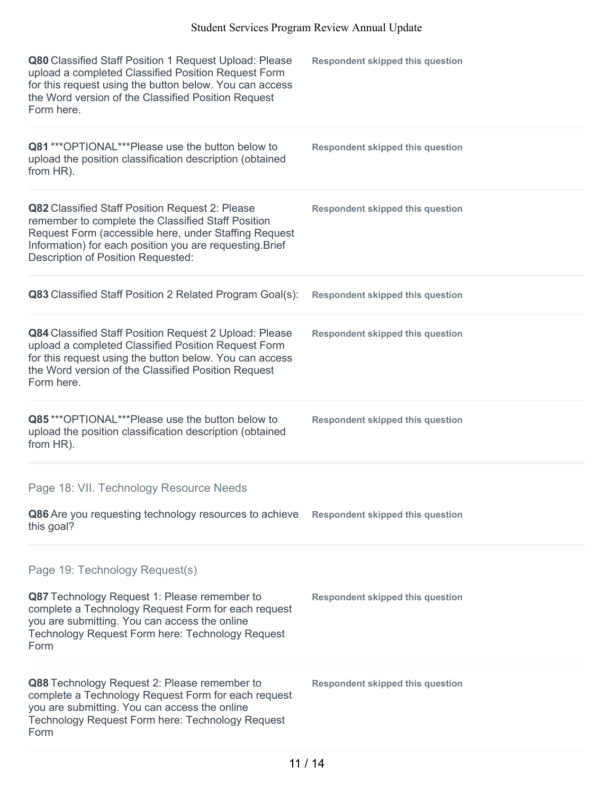| Q80 Classified Staff Position 1 Request Upload: Please<br>upload a completed Classified Position Request Form<br>for this request using the button below. You can access<br>the Word version of the Classified Position Request<br>Form here.                    | <b>Respondent skipped this question</b> |
|------------------------------------------------------------------------------------------------------------------------------------------------------------------------------------------------------------------------------------------------------------------|-----------------------------------------|
| Q81 *** OPTIONAL*** Please use the button below to<br>upload the position classification description (obtained<br>from HR).                                                                                                                                      | <b>Respondent skipped this question</b> |
| Q82 Classified Staff Position Request 2: Please<br>remember to complete the Classified Staff Position<br>Request Form (accessible here, under Staffing Request<br>Information) for each position you are requesting. Brief<br>Description of Position Requested: | <b>Respondent skipped this question</b> |
| Q83 Classified Staff Position 2 Related Program Goal(s):                                                                                                                                                                                                         | <b>Respondent skipped this question</b> |
| Q84 Classified Staff Position Request 2 Upload: Please<br>upload a completed Classified Position Request Form<br>for this request using the button below. You can access<br>the Word version of the Classified Position Request<br>Form here.                    | <b>Respondent skipped this question</b> |
| Q85***OPTIONAL***Please use the button below to<br>upload the position classification description (obtained<br>from HR).                                                                                                                                         | <b>Respondent skipped this question</b> |
|                                                                                                                                                                                                                                                                  |                                         |
| Page 18: VII. Technology Resource Needs                                                                                                                                                                                                                          |                                         |
| Q86 Are you requesting technology resources to achieve<br>this goal?                                                                                                                                                                                             | <b>Respondent skipped this question</b> |
| Page 19: Technology Request(s)<br>Q87 Technology Request 1: Please remember to<br>complete a Technology Request Form for each request<br>you are submitting. You can access the online<br>Technology Request Form here: Technology Request<br>Form               | <b>Respondent skipped this question</b> |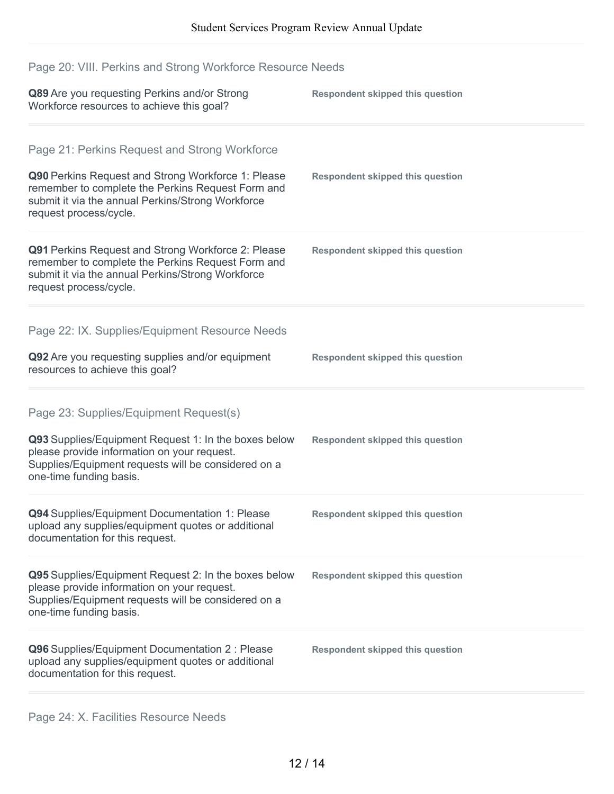# Page 20: VIII. Perkins and Strong Workforce Resource Needs

| Q89 Are you requesting Perkins and/or Strong<br>Workforce resources to achieve this goal?                                                                                                                                               | <b>Respondent skipped this question</b> |
|-----------------------------------------------------------------------------------------------------------------------------------------------------------------------------------------------------------------------------------------|-----------------------------------------|
| Page 21: Perkins Request and Strong Workforce<br>Q90 Perkins Request and Strong Workforce 1: Please<br>remember to complete the Perkins Request Form and<br>submit it via the annual Perkins/Strong Workforce<br>request process/cycle. | <b>Respondent skipped this question</b> |
| Q91 Perkins Request and Strong Workforce 2: Please<br>remember to complete the Perkins Request Form and<br>submit it via the annual Perkins/Strong Workforce<br>request process/cycle.                                                  | <b>Respondent skipped this question</b> |
| Page 22: IX. Supplies/Equipment Resource Needs<br>Q92 Are you requesting supplies and/or equipment<br>resources to achieve this goal?                                                                                                   | <b>Respondent skipped this question</b> |
| Page 23: Supplies/Equipment Request(s)<br>Q93 Supplies/Equipment Request 1: In the boxes below<br>please provide information on your request.<br>Supplies/Equipment requests will be considered on a<br>one-time funding basis.         | <b>Respondent skipped this question</b> |
| Q94 Supplies/Equipment Documentation 1: Please<br>upload any supplies/equipment quotes or additional<br>documentation for this request.                                                                                                 | <b>Respondent skipped this question</b> |
| Q95 Supplies/Equipment Request 2: In the boxes below<br>please provide information on your request.<br>Supplies/Equipment requests will be considered on a<br>one-time funding basis.                                                   | <b>Respondent skipped this question</b> |
| Q96 Supplies/Equipment Documentation 2 : Please<br>upload any supplies/equipment quotes or additional<br>documentation for this request.                                                                                                | <b>Respondent skipped this question</b> |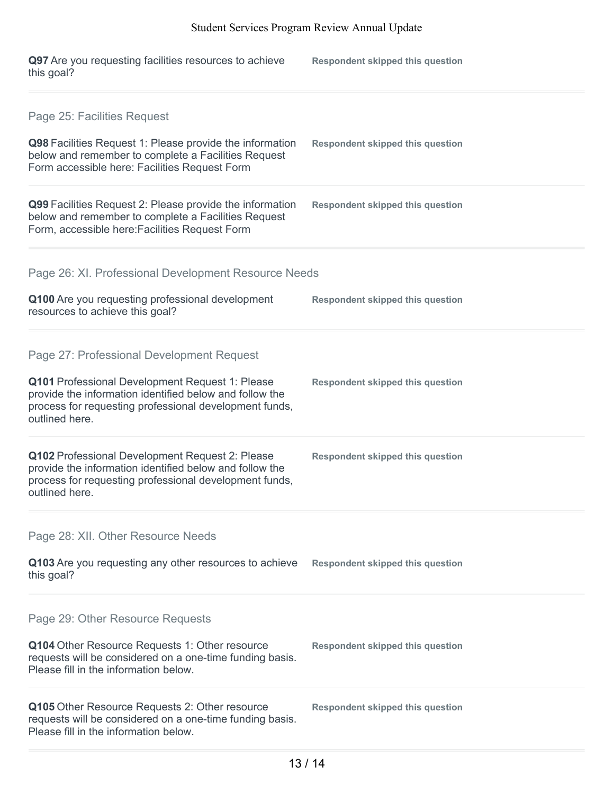| Q97 Are you requesting facilities resources to achieve<br>this goal?                                                                                                                                                                | <b>Respondent skipped this question</b> |
|-------------------------------------------------------------------------------------------------------------------------------------------------------------------------------------------------------------------------------------|-----------------------------------------|
| Page 25: Facilities Request<br>Q98 Facilities Request 1: Please provide the information<br>below and remember to complete a Facilities Request<br>Form accessible here: Facilities Request Form                                     | <b>Respondent skipped this question</b> |
| Q99 Facilities Request 2: Please provide the information<br>below and remember to complete a Facilities Request<br>Form, accessible here: Facilities Request Form                                                                   | <b>Respondent skipped this question</b> |
| Page 26: XI. Professional Development Resource Needs<br>Q100 Are you requesting professional development<br>resources to achieve this goal?                                                                                         | <b>Respondent skipped this question</b> |
| Page 27: Professional Development Request<br>Q101 Professional Development Request 1: Please<br>provide the information identified below and follow the<br>process for requesting professional development funds,<br>outlined here. | <b>Respondent skipped this question</b> |
| Q102 Professional Development Request 2: Please<br>provide the information identified below and follow the<br>process for requesting professional development funds,<br>outlined here.                                              | <b>Respondent skipped this question</b> |
| Page 28: XII. Other Resource Needs<br>Q103 Are you requesting any other resources to achieve<br>this goal?                                                                                                                          | <b>Respondent skipped this question</b> |
| Page 29: Other Resource Requests<br>Q104 Other Resource Requests 1: Other resource<br>requests will be considered on a one-time funding basis.<br>Please fill in the information below.                                             | <b>Respondent skipped this question</b> |
| Q105 Other Resource Requests 2: Other resource<br>requests will be considered on a one-time funding basis.<br>Please fill in the information below.                                                                                 | <b>Respondent skipped this question</b> |